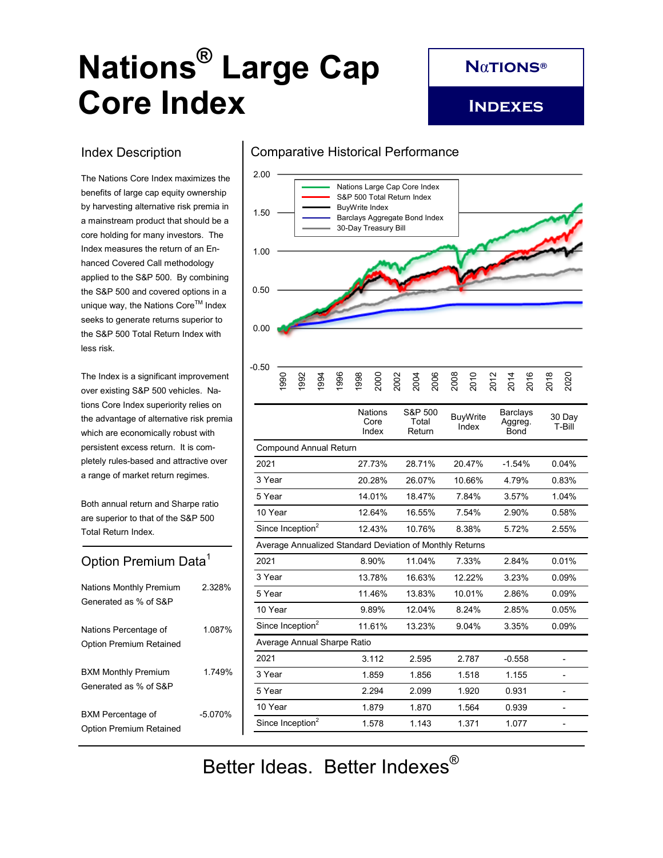# **Nations® Large Cap Core Index**

**N**α**tions®**

**Indexes**

## Index Description

The Nations Core Index maximizes the benefits of large cap equity ownership by harvesting alternative risk premia in a mainstream product that should be a core holding for many investors. The Index measures the return of an Enhanced Covered Call methodology applied to the S&P 500. By combining the S&P 500 and covered options in a unique way, the Nations Core™ Index seeks to generate returns superior to the S&P 500 Total Return Index with less risk.

The Index is a significant improvement over existing S&P 500 vehicles. Nations Core Index superiority relies on the advantage of alternative risk premia which are economically robust with persistent excess return. It is completely rules-based and attractive over a range of market return regimes.

Both annual return and Sharpe ratio are superior to that of the S&P 500 Total Return Index.

# Option Premium Data<sup>1</sup>

| <b>Nations Monthly Premium</b><br>Generated as % of S&P | 2.328%  |
|---------------------------------------------------------|---------|
| Nations Percentage of<br><b>Option Premium Retained</b> | 1.087%  |
| <b>BXM Monthly Premium</b><br>Generated as % of S&P     | 1 749%  |
| BXM Percentage of<br><b>Option Premium Retained</b>     | -5 070% |

# Comparative Historical Performance Comparative Historical Performance



| טכ.נ |  |  |  |  |  |  |  |  |  |
|------|--|--|--|--|--|--|--|--|--|
|      |  |  |  |  |  |  |  |  |  |

|                                                          | <b>Nations</b><br>Core<br>Index | S&P 500<br>Total<br>Return | <b>BuyWrite</b><br>Index | <b>Barclays</b><br>Aggreg.<br>Bond | 30 Day<br>T-Bill |  |  |  |  |
|----------------------------------------------------------|---------------------------------|----------------------------|--------------------------|------------------------------------|------------------|--|--|--|--|
| <b>Compound Annual Return</b>                            |                                 |                            |                          |                                    |                  |  |  |  |  |
| 2021                                                     | 27.73%                          | 28.71%                     | 20.47%                   | $-1.54%$                           | 0.04%            |  |  |  |  |
| 3 Year                                                   | 20.28%                          | 26.07%                     | 10.66%                   | 4.79%                              | 0.83%            |  |  |  |  |
| 5 Year                                                   | 14.01%                          | 18.47%                     | 7.84%                    | 3.57%                              | 1.04%            |  |  |  |  |
| 10 Year                                                  | 12.64%                          | 16.55%                     | 7.54%                    | 2.90%                              | 0.58%            |  |  |  |  |
| Since Inception <sup>2</sup>                             | 12.43%                          | 10.76%                     | 8.38%                    | 5.72%                              | 2.55%            |  |  |  |  |
| Average Annualized Standard Deviation of Monthly Returns |                                 |                            |                          |                                    |                  |  |  |  |  |
| 2021                                                     | 8.90%                           | 11.04%                     | 7.33%                    | 2.84%                              | 0.01%            |  |  |  |  |
| 3 Year                                                   | 13.78%                          | 16.63%                     | 12.22%                   | 3.23%                              | 0.09%            |  |  |  |  |
| 5 Year                                                   | 11.46%                          | 13.83%                     | 10.01%                   | 2.86%                              | 0.09%            |  |  |  |  |
| 10 Year                                                  | 9.89%                           | 12.04%                     | 8.24%                    | 2.85%                              | 0.05%            |  |  |  |  |
| Since Inception <sup>2</sup>                             | 11.61%                          | 13.23%                     | 9.04%                    | 3.35%                              | 0.09%            |  |  |  |  |
| Average Annual Sharpe Ratio                              |                                 |                            |                          |                                    |                  |  |  |  |  |
| 2021                                                     | 3.112                           | 2.595                      | 2.787                    | $-0.558$                           |                  |  |  |  |  |
| 3 Year                                                   | 1.859                           | 1.856                      | 1.518                    | 1.155                              |                  |  |  |  |  |
| 5 Year                                                   | 2.294                           | 2.099                      | 1.920                    | 0.931                              |                  |  |  |  |  |
| 10 Year                                                  | 1.879                           | 1.870                      | 1.564                    | 0.939                              |                  |  |  |  |  |
| Since Inception <sup>2</sup>                             | 1.578                           | 1.143                      | 1.371                    | 1.077                              |                  |  |  |  |  |

Better Ideas. Better Indexes<sup>®</sup>